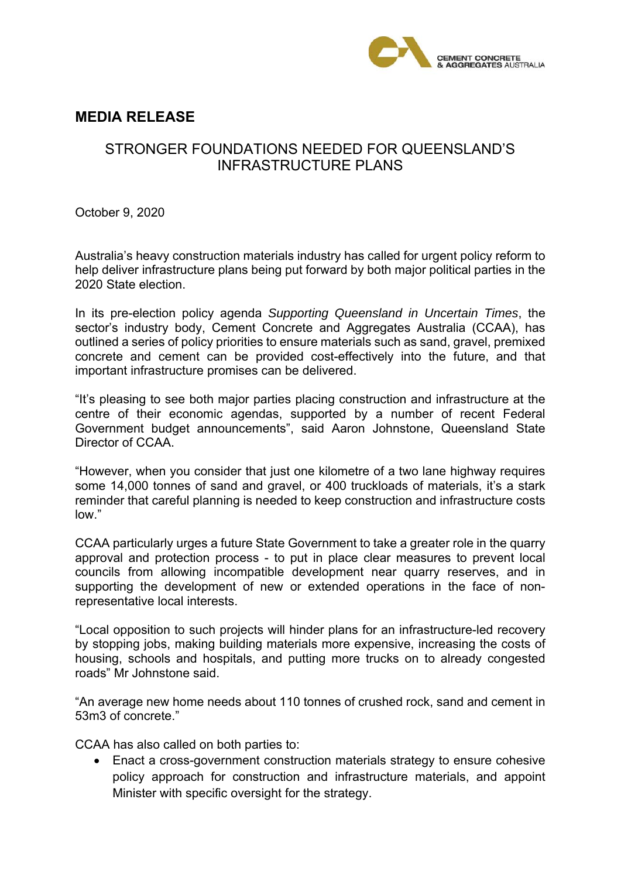

## **MEDIA RELEASE**

## STRONGER FOUNDATIONS NEEDED FOR QUEENSLAND'S INFRASTRUCTURE PLANS

October 9, 2020

Australia's heavy construction materials industry has called for urgent policy reform to help deliver infrastructure plans being put forward by both major political parties in the 2020 State election.

In its pre-election policy agenda *Supporting Queensland in Uncertain Times*, the sector's industry body, Cement Concrete and Aggregates Australia (CCAA), has outlined a series of policy priorities to ensure materials such as sand, gravel, premixed concrete and cement can be provided cost-effectively into the future, and that important infrastructure promises can be delivered.

"It's pleasing to see both major parties placing construction and infrastructure at the centre of their economic agendas, supported by a number of recent Federal Government budget announcements", said Aaron Johnstone, Queensland State Director of CCAA.

"However, when you consider that just one kilometre of a two lane highway requires some 14,000 tonnes of sand and gravel, or 400 truckloads of materials, it's a stark reminder that careful planning is needed to keep construction and infrastructure costs low."

CCAA particularly urges a future State Government to take a greater role in the quarry approval and protection process - to put in place clear measures to prevent local councils from allowing incompatible development near quarry reserves, and in supporting the development of new or extended operations in the face of nonrepresentative local interests.

"Local opposition to such projects will hinder plans for an infrastructure-led recovery by stopping jobs, making building materials more expensive, increasing the costs of housing, schools and hospitals, and putting more trucks on to already congested roads" Mr Johnstone said.

"An average new home needs about 110 tonnes of crushed rock, sand and cement in 53m3 of concrete."

CCAA has also called on both parties to:

 Enact a cross-government construction materials strategy to ensure cohesive policy approach for construction and infrastructure materials, and appoint Minister with specific oversight for the strategy.